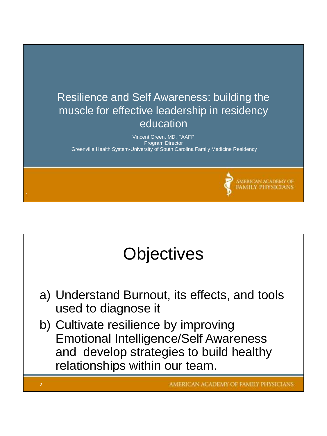

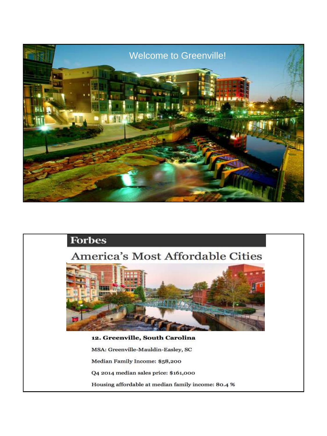

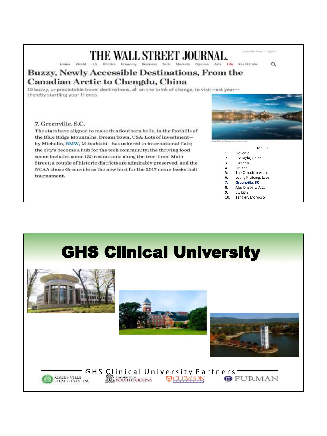#### Home World U.S. Politics Economy Business Tech Markets Opinion Arts Life Real Estate

#### **Buzzy, Newly Accessible Destinations, From the Canadian Arctic to Chengdu, China**

10 buzzy, unpredictable travel destinations, all on the brink of change, to visit next yearthereby startling your friends

#### 7. Greenville, S.C.

The stars have aligned to make this Southern belle, in the foothills of the Blue Ridge Mountains, Dream Town, USA: Lots of investmentby Michelin, BMW, Mitsubishi-has ushered in international flair; the city's become a hub for the tech community; the thriving food scene includes some 120 restaurants along the tree-lined Main Street; a couple of historic districts are admirably preserved; and the NCAA chose Greenville as the new host for the 2017 men's basketball tournament.



**Sideribe tow | Signist** 

 $\alpha$ 

- Top 10 1. Slovenia
	-
- 2. Chengdu, China 3. Rwanda
- 4. Finland
- 
- 5. The Canadian Arctic<br>6. Luang Prabang, Laos 6. Luang Prabang, Laos
- **7. Greenville, SC**
- 8. Abu Dhabi, U.A.E.
- 9. St. Kitts
- 10. Tangier, Morocco

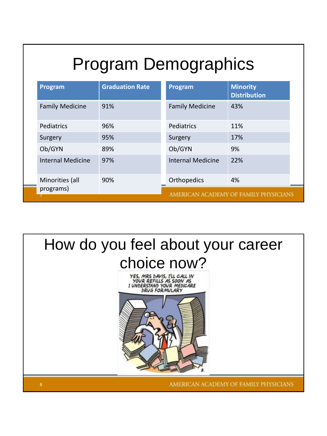# Program Demographics

| Program                      | <b>Graduation Rate</b> | Program                               | <b>Minority</b><br><b>Distribution</b> |  |
|------------------------------|------------------------|---------------------------------------|----------------------------------------|--|
| <b>Family Medicine</b>       | 91%                    | <b>Family Medicine</b>                | 43%                                    |  |
| Pediatrics                   | 96%                    | Pediatrics                            | 11%                                    |  |
| Surgery                      | 95%                    | Surgery                               | 17%                                    |  |
| Ob/GYN                       | 89%                    | Ob/GYN                                | 9%                                     |  |
| <b>Internal Medicine</b>     | 97%                    | <b>Internal Medicine</b>              | 22%                                    |  |
| Minorities (all<br>programs) | 90%                    | Orthopedics                           | 4%                                     |  |
|                              |                        | AMERICAN ACADEMY OF FAMILY PHYSICIANS |                                        |  |

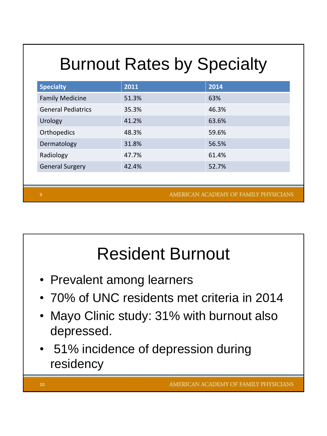# Burnout Rates by Specialty

| <b>Specialty</b>          | 2011  | 2014  |
|---------------------------|-------|-------|
| <b>Family Medicine</b>    | 51.3% | 63%   |
| <b>General Pediatrics</b> | 35.3% | 46.3% |
| Urology                   | 41.2% | 63.6% |
| Orthopedics               | 48.3% | 59.6% |
| Dermatology               | 31.8% | 56.5% |
| Radiology                 | 47.7% | 61.4% |
| <b>General Surgery</b>    | 42.4% | 52.7% |
|                           |       |       |

AMERICAN ACADEMY OF FAMILY PHYSICIANS

## Resident Burnout

- Prevalent among learners
- 70% of UNC residents met criteria in 2014
- Mayo Clinic study: 31% with burnout also depressed.
- 51% incidence of depression during residency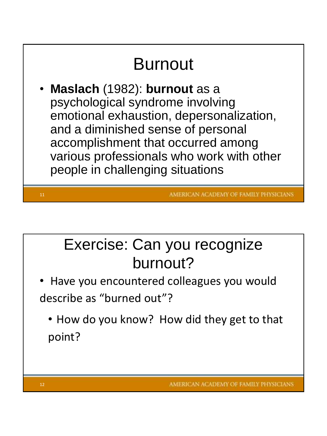

#### Exercise: Can you recognize burnout?

- Have you encountered colleagues you would describe as "burned out"?
	- How do you know? How did they get to that point?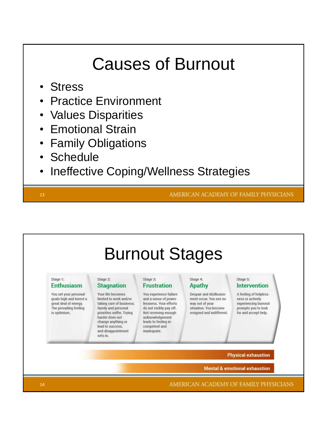### Causes of Burnout

- Stress
- Practice Environment
- Values Disparities
- Emotional Strain
- Family Obligations
- **Schedule**
- Ineffective Coping/Wellness Strategies

13

AMERICAN ACADEMY OF FAMILY PHYSICIANS

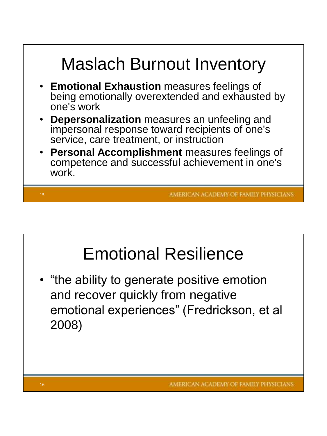

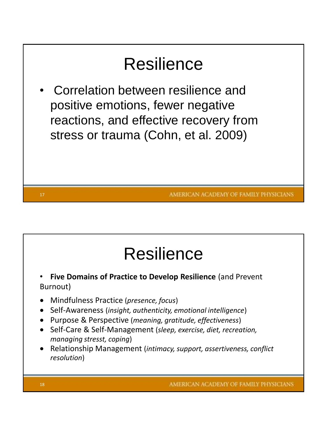

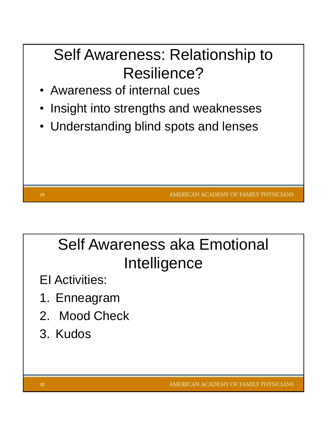#### Self Awareness: Relationship to Resilience?

- Awareness of internal cues
- Insight into strengths and weaknesses
- Understanding blind spots and lenses

AMERICAN ACADEMY OF FAMILY PHYSICIANS

### Self Awareness aka Emotional **Intelligence**

- EI Activities:
- 1. Enneagram
- 2. Mood Check
- 3. Kudos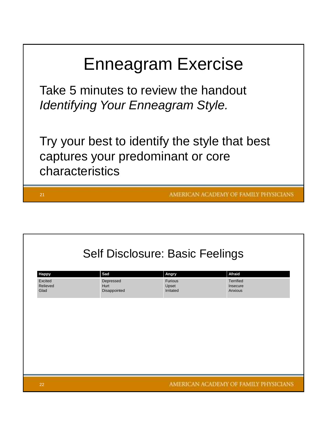| <b>Enneagram Exercise</b>                                                                             |
|-------------------------------------------------------------------------------------------------------|
| Take 5 minutes to review the handout<br><b>Identifying Your Enneagram Style.</b>                      |
| Try your best to identify the style that best<br>captures your predominant or core<br>characteristics |
| AMERICAN ACADEMY OF FAMILY PHYSICI<br>21                                                              |

٦

| <b>Self Disclosure: Basic Feelings</b> |                                   |                               |                                         |  |  |  |
|----------------------------------------|-----------------------------------|-------------------------------|-----------------------------------------|--|--|--|
| Happy                                  | Sad                               | Angry                         | Afraid                                  |  |  |  |
| Excited<br>Relieved<br>Glad            | Depressed<br>Hurt<br>Disappointed | Furious<br>Upset<br>Irritated | <b>Terrified</b><br>Insecure<br>Anxious |  |  |  |
|                                        |                                   |                               |                                         |  |  |  |
|                                        |                                   |                               |                                         |  |  |  |
|                                        |                                   |                               |                                         |  |  |  |
|                                        |                                   |                               |                                         |  |  |  |
|                                        |                                   |                               |                                         |  |  |  |
| 22                                     |                                   |                               | AMERICAN ACADEMY OF FAMILY PHYSICIANS   |  |  |  |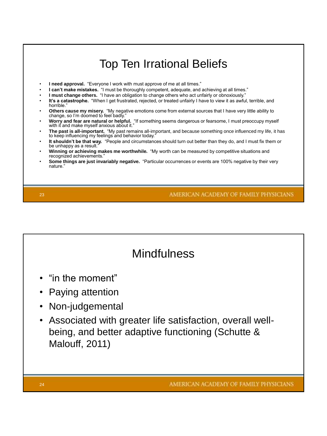

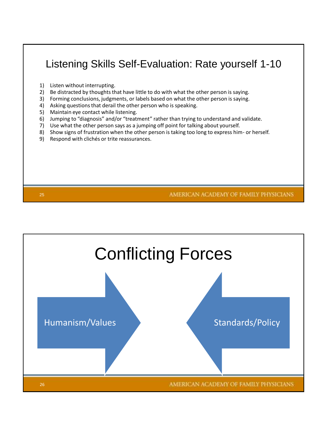#### Listening Skills Self-Evaluation: Rate yourself 1-10

1) Listen without interrupting.

25

- 2) Be distracted by thoughts that have little to do with what the other person is saying.
- 3) Forming conclusions, judgments, or labels based on what the other person is saying.
- 4) Asking questions that derail the other person who is speaking.
- 5) Maintain eye contact while listening.
- 6) Jumping to "diagnosis" and/or "treatment" rather than trying to understand and validate.
- 7) Use what the other person says as a jumping off point for talking about yourself.
- 8) Show signs of frustration when the other person is taking too long to express him- or herself.
- 9) Respond with clichés or trite reassurances.

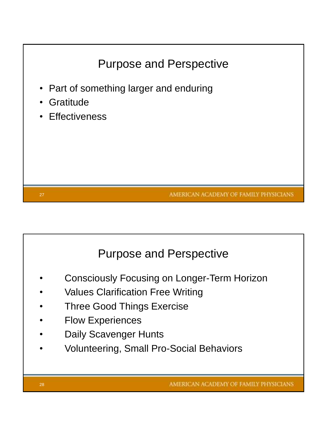

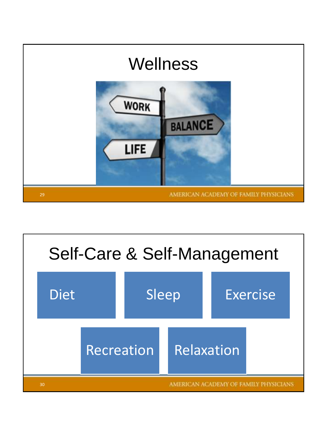

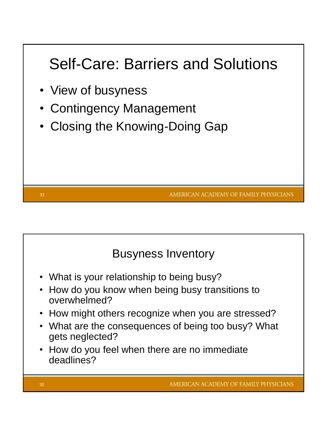#### Self-Care: Barriers and Solutions

• View of busyness

31

- Contingency Management
- Closing the Knowing-Doing Gap

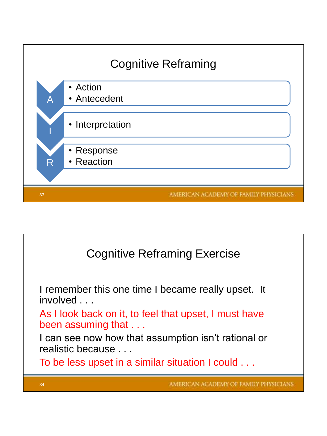

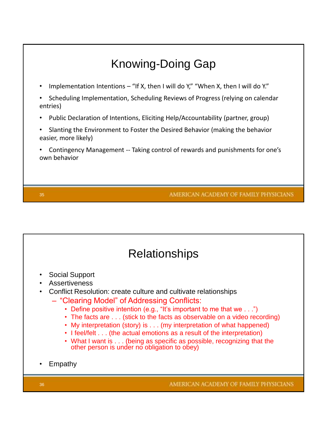

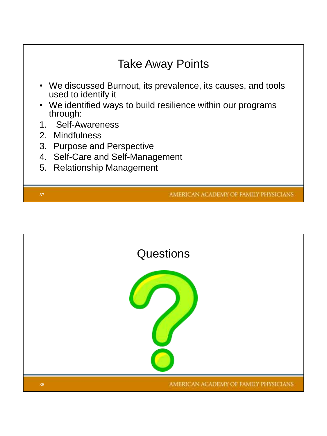